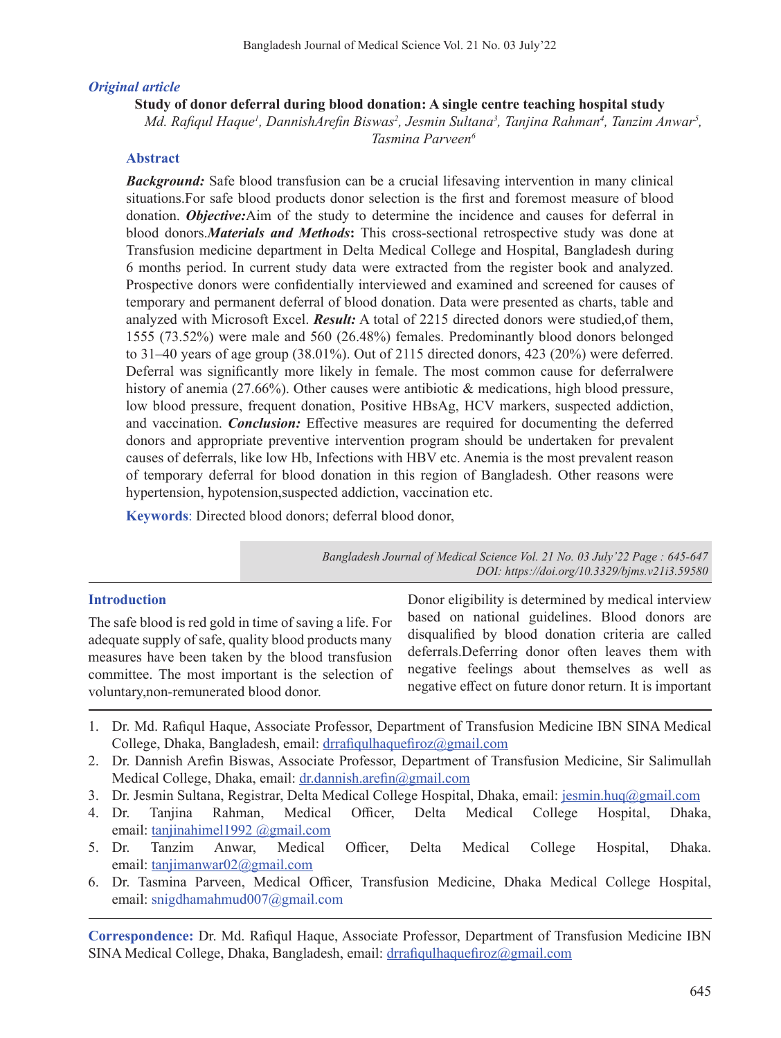# *Original article*

# **Study of donor deferral during blood donation: A single centre teaching hospital study**

*Md. Rafiqul Haque<sup>1</sup>, DannishArefin Biswas<sup>2</sup>, Jesmin Sultana<sup>3</sup>, Tanjina Rahman<sup>4</sup>, Tanzim Anwar<sup>5</sup>, Tasmina Parveen6*

# **Abstract**

**Background:** Safe blood transfusion can be a crucial lifesaving intervention in many clinical situations.For safe blood products donor selection is the first and foremost measure of blood donation. *Objective:*Aim of the study to determine the incidence and causes for deferral in blood donors.*Materials and Methods***:** This cross-sectional retrospective study was done at Transfusion medicine department in Delta Medical College and Hospital, Bangladesh during 6 months period. In current study data were extracted from the register book and analyzed. Prospective donors were confidentially interviewed and examined and screened for causes of temporary and permanent deferral of blood donation. Data were presented as charts, table and analyzed with Microsoft Excel. *Result:* A total of 2215 directed donors were studied,of them, 1555 (73.52%) were male and 560 (26.48%) females. Predominantly blood donors belonged to 31–40 years of age group (38.01%). Out of 2115 directed donors, 423 (20%) were deferred. Deferral was significantly more likely in female. The most common cause for deferralwere history of anemia (27.66%). Other causes were antibiotic & medications, high blood pressure, low blood pressure, frequent donation, Positive HBsAg, HCV markers, suspected addiction, and vaccination. *Conclusion:* Effective measures are required for documenting the deferred donors and appropriate preventive intervention program should be undertaken for prevalent causes of deferrals, like low Hb, Infections with HBV etc. Anemia is the most prevalent reason of temporary deferral for blood donation in this region of Bangladesh. Other reasons were hypertension, hypotension, suspected addiction, vaccination etc.

**Keywords**: Directed blood donors; deferral blood donor,

*Bangladesh Journal of Medical Science Vol. 21 No. 03 July'22 Page : 645-647 DOI: https://doi.org/10.3329/bjms.v21i3.59580*

## **Introduction**

The safe blood is red gold in time of saving a life. For adequate supply of safe, quality blood products many measures have been taken by the blood transfusion committee. The most important is the selection of voluntary,non-remunerated blood donor.

Donor eligibility is determined by medical interview based on national guidelines. Blood donors are disqualified by blood donation criteria are called deferrals.Deferring donor often leaves them with negative feelings about themselves as well as negative effect on future donor return. It is important

- 1. Dr. Md. Rafiqul Haque, Associate Professor, Department of Transfusion Medicine IBN SINA Medical College, Dhaka, Bangladesh, email: drrafiqulhaquefiroz@gmail.com
- 2. Dr. Dannish Arefin Biswas, Associate Professor, Department of Transfusion Medicine, Sir Salimullah Medical College, Dhaka, email: dr.dannish.arefin@gmail.com
- 3. Dr. Jesmin Sultana, Registrar, Delta Medical College Hospital, Dhaka, email: jesmin.huq@gmail.com
- 4. Dr. Tanjina Rahman, Medical Officer, Delta Medical College Hospital, Dhaka, email: tanjinahimel1992 @gmail.com
- 5. Dr. Tanzim Anwar, Medical Officer, Delta Medical College Hospital, Dhaka. email: tanjimanwar02@gmail.com
- 6. Dr. Tasmina Parveen, Medical Officer, Transfusion Medicine, Dhaka Medical College Hospital, email: snigdhamahmud007@gmail.com

**Correspondence:** Dr. Md. Rafiqul Haque, Associate Professor, Department of Transfusion Medicine IBN SINA Medical College, Dhaka, Bangladesh, email: drrafiqulhaquefiroz@gmail.com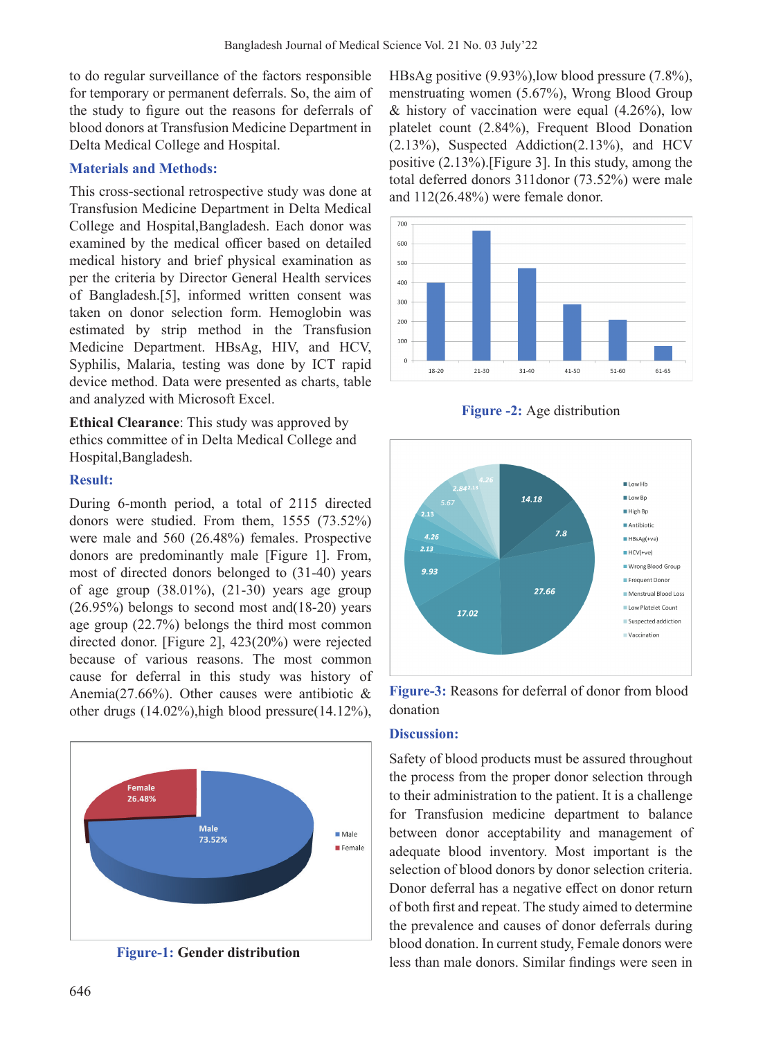to do regular surveillance of the factors responsible for temporary or permanent deferrals. So, the aim of the study to figure out the reasons for deferrals of blood donors at Transfusion Medicine Department in Delta Medical College and Hospital.

#### **Materials and Methods:**

This cross-sectional retrospective study was done at Transfusion Medicine Department in Delta Medical College and Hospital,Bangladesh. Each donor was examined by the medical officer based on detailed medical history and brief physical examination as per the criteria by Director General Health services of Bangladesh.[5], informed written consent was taken on donor selection form. Hemoglobin was estimated by strip method in the Transfusion Medicine Department. HBsAg, HIV, and HCV, Syphilis, Malaria, testing was done by ICT rapid device method. Data were presented as charts, table and analyzed with Microsoft Excel.

**Ethical Clearance**: This study was approved by ethics committee of in Delta Medical College and Hospital,Bangladesh.

#### **Result:**

During 6-month period, a total of 2115 directed donors were studied. From them, 1555 (73.52%) were male and 560 (26.48%) females. Prospective donors are predominantly male [Figure 1]. From, most of directed donors belonged to (31-40) years of age group (38.01%), (21-30) years age group (26.95%) belongs to second most and(18-20) years age group (22.7%) belongs the third most common directed donor. [Figure 2], 423(20%) were rejected because of various reasons. The most common cause for deferral in this study was history of Anemia(27.66%). Other causes were antibiotic & other drugs (14.02%),high blood pressure(14.12%),





HBsAg positive (9.93%),low blood pressure (7.8%), menstruating women (5.67%), Wrong Blood Group  $&$  history of vaccination were equal (4.26%), low platelet count (2.84%), Frequent Blood Donation (2.13%), Suspected Addiction(2.13%), and HCV positive (2.13%).[Figure 3]. In this study, among the total deferred donors 311donor (73.52%) were male and 112(26.48%) were female donor.



**Figure -2:** Age distribution



**Figure-3:** Reasons for deferral of donor from blood donation

## **Discussion:**

Safety of blood products must be assured throughout the process from the proper donor selection through to their administration to the patient. It is a challenge for Transfusion medicine department to balance between donor acceptability and management of adequate blood inventory. Most important is the selection of blood donors by donor selection criteria. Donor deferral has a negative effect on donor return of both first and repeat. The study aimed to determine the prevalence and causes of donor deferrals during blood donation. In current study, Female donors were less than male donors. Similar findings were seen in